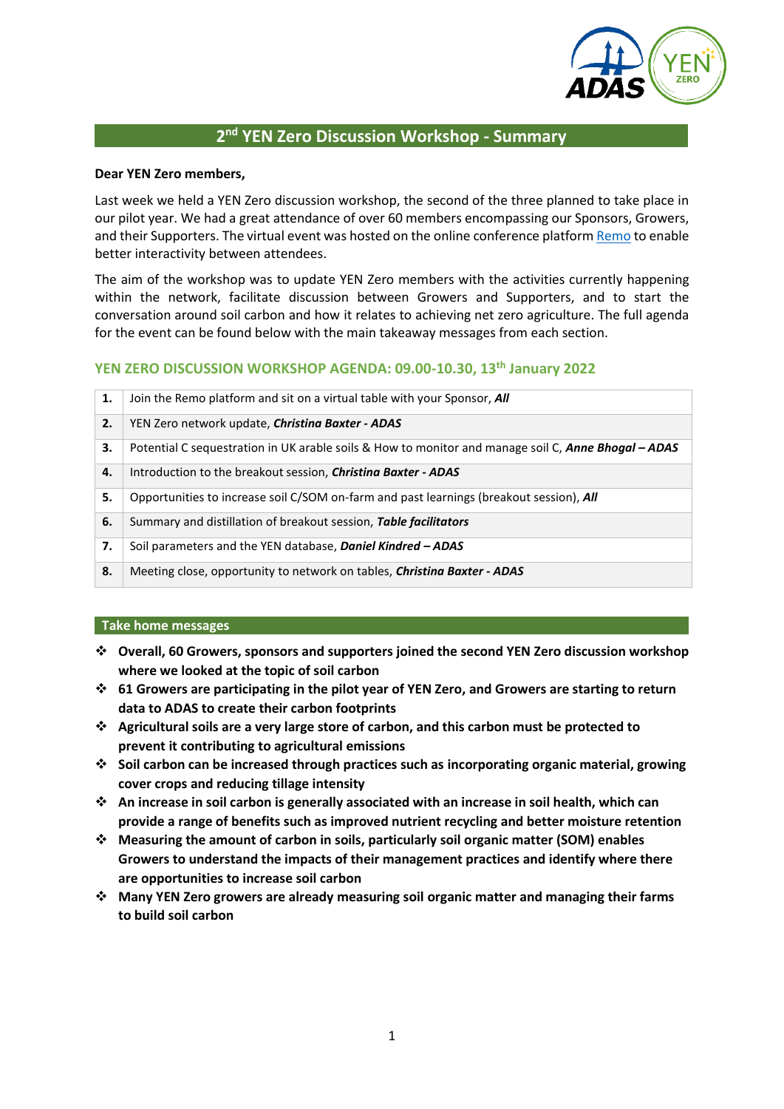

# **2 nd YEN Zero Discussion Workshop - Summary**

#### **Dear YEN Zero members,**

Last week we held a YEN Zero discussion workshop, the second of the three planned to take place in our pilot year. We had a great attendance of over 60 members encompassing our Sponsors, Growers, and their Supporters. The virtual event was hosted on the online conference platfor[m Remo](https://remo.co/) to enable better interactivity between attendees.

The aim of the workshop was to update YEN Zero members with the activities currently happening within the network, facilitate discussion between Growers and Supporters, and to start the conversation around soil carbon and how it relates to achieving net zero agriculture. The full agenda for the event can be found below with the main takeaway messages from each section.

# **YEN ZERO DISCUSSION WORKSHOP AGENDA: 09.00-10.30, 13th January 2022**

| 1. | Join the Remo platform and sit on a virtual table with your Sponsor, All                                   |
|----|------------------------------------------------------------------------------------------------------------|
| 2. | YEN Zero network update, <i>Christing Baxter - ADAS</i>                                                    |
| З. | Potential C sequestration in UK arable soils & How to monitor and manage soil C, <b>Anne Bhogal - ADAS</b> |
| 4. | Introduction to the breakout session, Christina Baxter - ADAS                                              |
| 5. | Opportunities to increase soil C/SOM on-farm and past learnings (breakout session), All                    |
| 6. | Summary and distillation of breakout session, Table facilitators                                           |
| 7. | Soil parameters and the YEN database, Daniel Kindred - ADAS                                                |
| 8. | Meeting close, opportunity to network on tables, <i>Christina Baxter - ADAS</i>                            |

#### **Take home messages**

- ❖ **Overall, 60 Growers, sponsors and supporters joined the second YEN Zero discussion workshop where we looked at the topic of soil carbon**
- ❖ **61 Growers are participating in the pilot year of YEN Zero, and Growers are starting to return data to ADAS to create their carbon footprints**
- ❖ **Agricultural soils are a very large store of carbon, and this carbon must be protected to prevent it contributing to agricultural emissions**
- ❖ **Soil carbon can be increased through practices such as incorporating organic material, growing cover crops and reducing tillage intensity**
- ❖ **An increase in soil carbon is generally associated with an increase in soil health, which can provide a range of benefits such as improved nutrient recycling and better moisture retention**
- ❖ **Measuring the amount of carbon in soils, particularly soil organic matter (SOM) enables Growers to understand the impacts of their management practices and identify where there are opportunities to increase soil carbon**
- ❖ **Many YEN Zero growers are already measuring soil organic matter and managing their farms to build soil carbon**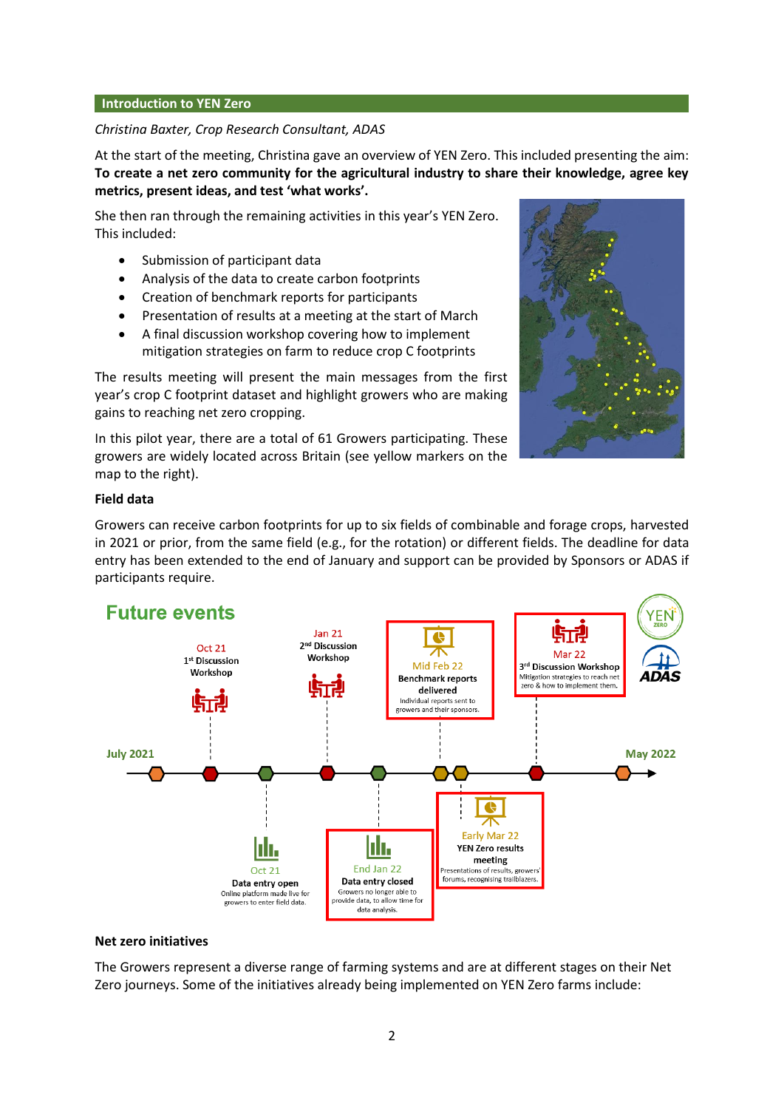#### **Introduction to YEN Zero**

#### *Christina Baxter, Crop Research Consultant, ADAS*

At the start of the meeting, Christina gave an overview of YEN Zero. This included presenting the aim: **To create a net zero community for the agricultural industry to share their knowledge, agree key metrics, present ideas, and test 'what works'.**

She then ran through the remaining activities in this year's YEN Zero. This included:

- Submission of participant data
- Analysis of the data to create carbon footprints
- Creation of benchmark reports for participants
- Presentation of results at a meeting at the start of March
- A final discussion workshop covering how to implement mitigation strategies on farm to reduce crop C footprints

The results meeting will present the main messages from the first year's crop C footprint dataset and highlight growers who are making gains to reaching net zero cropping.

In this pilot year, there are a total of 61 Growers participating. These growers are widely located across Britain (see yellow markers on the map to the right).



#### **Field data**

Growers can receive carbon footprints for up to six fields of combinable and forage crops, harvested in 2021 or prior, from the same field (e.g., for the rotation) or different fields. The deadline for data entry has been extended to the end of January and support can be provided by Sponsors or ADAS if participants require.



#### **Net zero initiatives**

The Growers represent a diverse range of farming systems and are at different stages on their Net Zero journeys. Some of the initiatives already being implemented on YEN Zero farms include: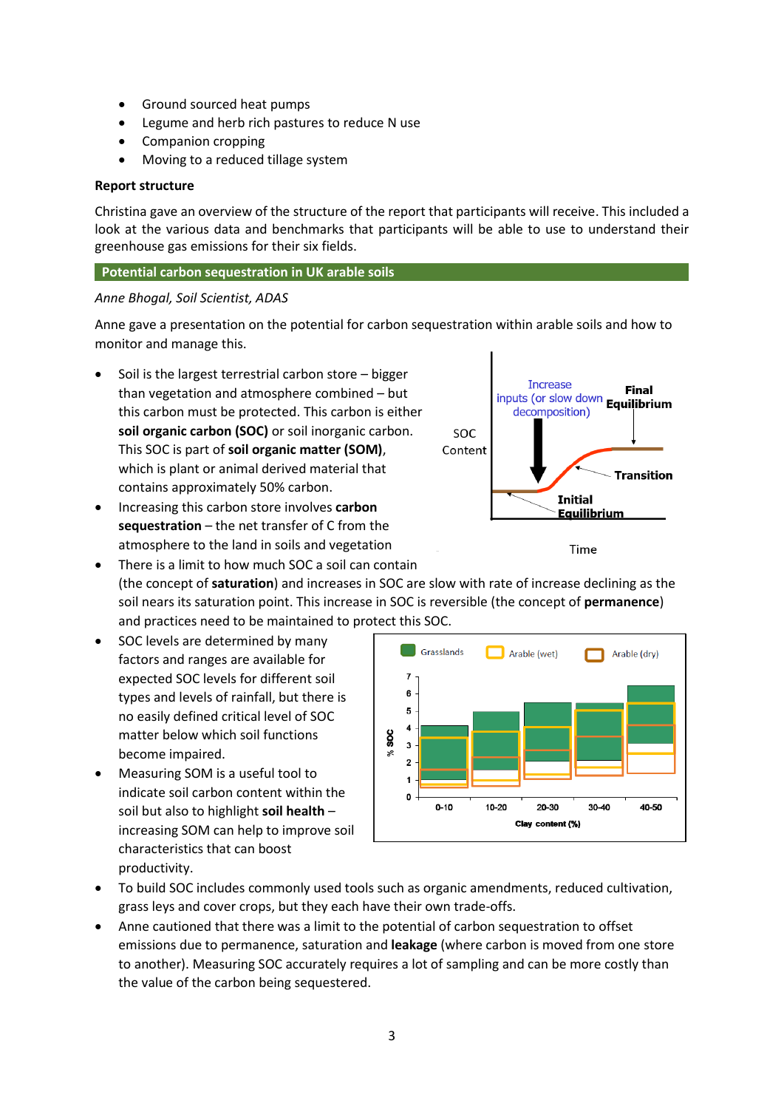- Ground sourced heat pumps
- Legume and herb rich pastures to reduce N use
- Companion cropping
- Moving to a reduced tillage system

## **Report structure**

Christina gave an overview of the structure of the report that participants will receive. This included a look at the various data and benchmarks that participants will be able to use to understand their greenhouse gas emissions for their six fields.

## **Potential carbon sequestration in UK arable soils**

## *Anne Bhogal, Soil Scientist, ADAS*

Anne gave a presentation on the potential for carbon sequestration within arable soils and how to monitor and manage this.

- Soil is the largest terrestrial carbon store bigger than vegetation and atmosphere combined – but this carbon must be protected. This carbon is either **soil organic carbon (SOC)** or soil inorganic carbon. This SOC is part of **soil organic matter (SOM)**, which is plant or animal derived material that contains approximately 50% carbon.
- Increasing this carbon store involves **carbon sequestration** – the net transfer of C from the atmosphere to the land in soils and vegetation
- There is a limit to how much SOC a soil can contain (the concept of **saturation**) and increases in SOC are slow with rate of increase declining as the soil nears its saturation point. This increase in SOC is reversible (the concept of **permanence**) and practices need to be maintained to protect this SOC.
- SOC levels are determined by many factors and ranges are available for expected SOC levels for different soil types and levels of rainfall, but there is no easily defined critical level of SOC matter below which soil functions become impaired.
- Measuring SOM is a useful tool to indicate soil carbon content within the soil but also to highlight **soil health** – increasing SOM can help to improve soil characteristics that can boost productivity.



- To build SOC includes commonly used tools such as organic amendments, reduced cultivation, grass leys and cover crops, but they each have their own trade-offs.
- Anne cautioned that there was a limit to the potential of carbon sequestration to offset emissions due to permanence, saturation and **leakage** (where carbon is moved from one store to another). Measuring SOC accurately requires a lot of sampling and can be more costly than the value of the carbon being sequestered.



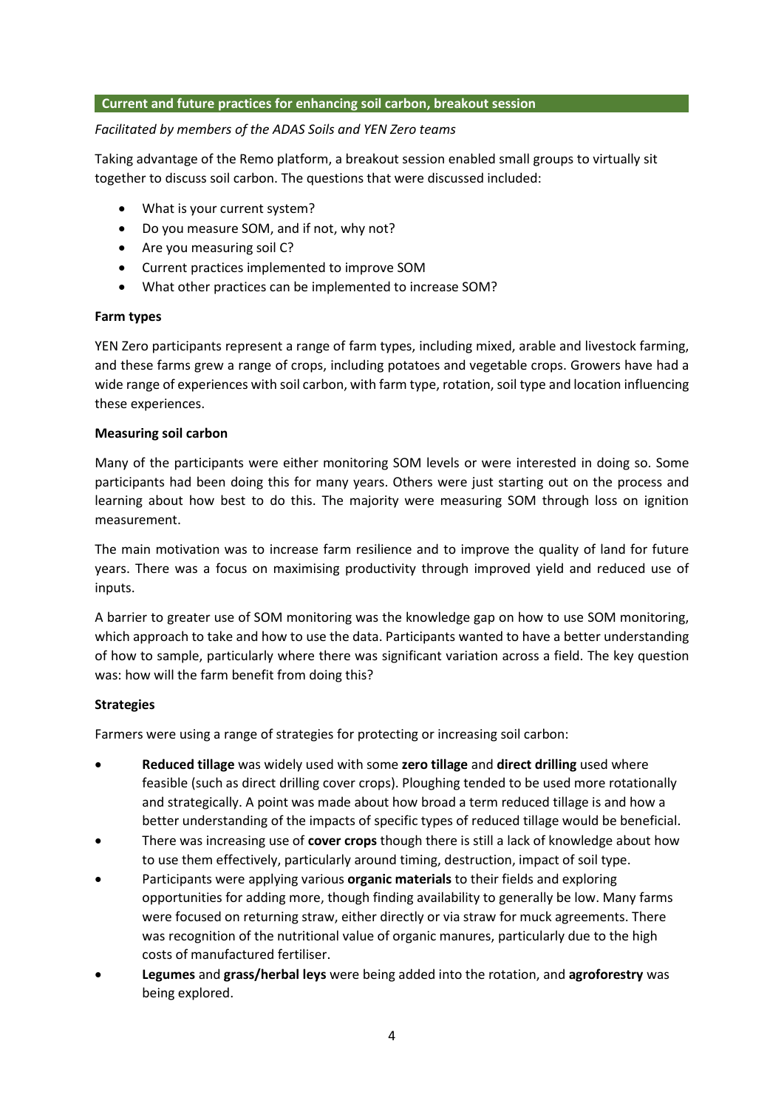### **Current and future practices for enhancing soil carbon, breakout session**

### *Facilitated by members of the ADAS Soils and YEN Zero teams*

Taking advantage of the Remo platform, a breakout session enabled small groups to virtually sit together to discuss soil carbon. The questions that were discussed included:

- What is your current system?
- Do you measure SOM, and if not, why not?
- Are you measuring soil C?
- Current practices implemented to improve SOM
- What other practices can be implemented to increase SOM?

## **Farm types**

YEN Zero participants represent a range of farm types, including mixed, arable and livestock farming, and these farms grew a range of crops, including potatoes and vegetable crops. Growers have had a wide range of experiences with soil carbon, with farm type, rotation, soil type and location influencing these experiences.

## **Measuring soil carbon**

Many of the participants were either monitoring SOM levels or were interested in doing so. Some participants had been doing this for many years. Others were just starting out on the process and learning about how best to do this. The majority were measuring SOM through loss on ignition measurement.

The main motivation was to increase farm resilience and to improve the quality of land for future years. There was a focus on maximising productivity through improved yield and reduced use of inputs.

A barrier to greater use of SOM monitoring was the knowledge gap on how to use SOM monitoring, which approach to take and how to use the data. Participants wanted to have a better understanding of how to sample, particularly where there was significant variation across a field. The key question was: how will the farm benefit from doing this?

# **Strategies**

Farmers were using a range of strategies for protecting or increasing soil carbon:

- **Reduced tillage** was widely used with some **zero tillage** and **direct drilling** used where feasible (such as direct drilling cover crops). Ploughing tended to be used more rotationally and strategically. A point was made about how broad a term reduced tillage is and how a better understanding of the impacts of specific types of reduced tillage would be beneficial.
- There was increasing use of **cover crops** though there is still a lack of knowledge about how to use them effectively, particularly around timing, destruction, impact of soil type.
- Participants were applying various **organic materials** to their fields and exploring opportunities for adding more, though finding availability to generally be low. Many farms were focused on returning straw, either directly or via straw for muck agreements. There was recognition of the nutritional value of organic manures, particularly due to the high costs of manufactured fertiliser.
- **Legumes** and **grass/herbal leys** were being added into the rotation, and **agroforestry** was being explored.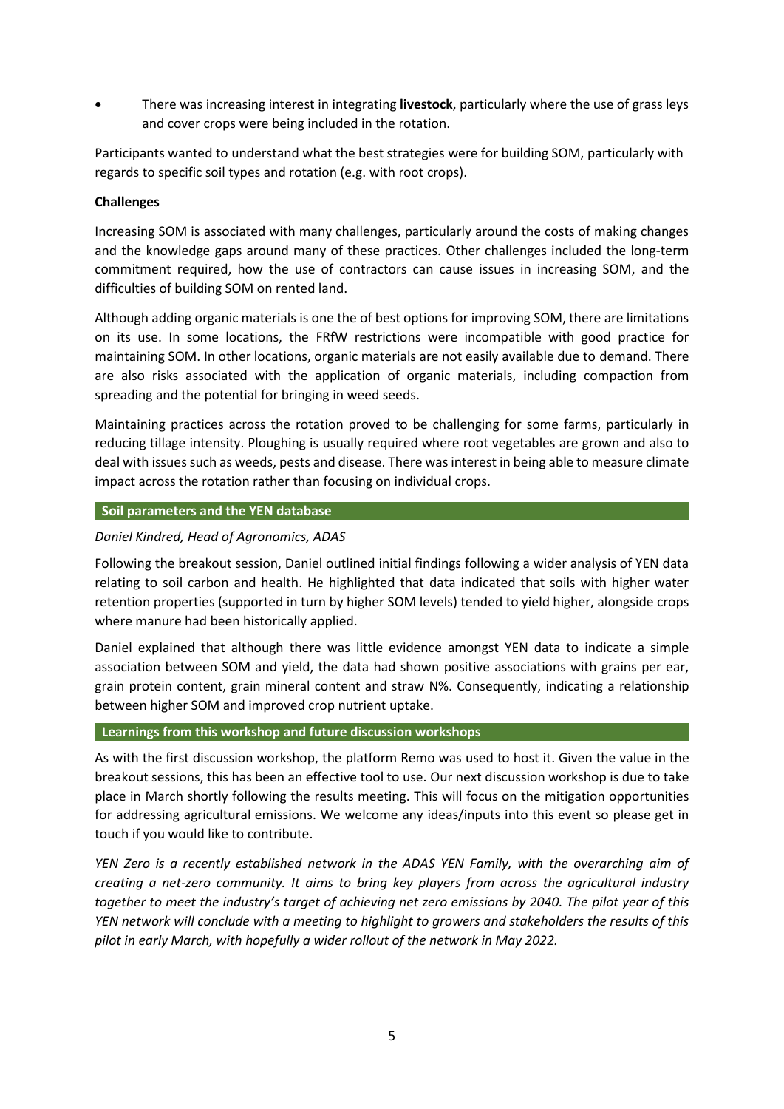• There was increasing interest in integrating **livestock**, particularly where the use of grass leys and cover crops were being included in the rotation.

Participants wanted to understand what the best strategies were for building SOM, particularly with regards to specific soil types and rotation (e.g. with root crops).

### **Challenges**

Increasing SOM is associated with many challenges, particularly around the costs of making changes and the knowledge gaps around many of these practices. Other challenges included the long-term commitment required, how the use of contractors can cause issues in increasing SOM, and the difficulties of building SOM on rented land.

Although adding organic materials is one the of best options for improving SOM, there are limitations on its use. In some locations, the FRfW restrictions were incompatible with good practice for maintaining SOM. In other locations, organic materials are not easily available due to demand. There are also risks associated with the application of organic materials, including compaction from spreading and the potential for bringing in weed seeds.

Maintaining practices across the rotation proved to be challenging for some farms, particularly in reducing tillage intensity. Ploughing is usually required where root vegetables are grown and also to deal with issues such as weeds, pests and disease. There was interest in being able to measure climate impact across the rotation rather than focusing on individual crops.

#### **Soil parameters and the YEN database**

# *Daniel Kindred, Head of Agronomics, ADAS*

Following the breakout session, Daniel outlined initial findings following a wider analysis of YEN data relating to soil carbon and health. He highlighted that data indicated that soils with higher water retention properties (supported in turn by higher SOM levels) tended to yield higher, alongside crops where manure had been historically applied.

Daniel explained that although there was little evidence amongst YEN data to indicate a simple association between SOM and yield, the data had shown positive associations with grains per ear, grain protein content, grain mineral content and straw N%. Consequently, indicating a relationship between higher SOM and improved crop nutrient uptake.

#### **Learnings from this workshop and future discussion workshops**

As with the first discussion workshop, the platform Remo was used to host it. Given the value in the breakout sessions, this has been an effective tool to use. Our next discussion workshop is due to take place in March shortly following the results meeting. This will focus on the mitigation opportunities for addressing agricultural emissions. We welcome any ideas/inputs into this event so please get in touch if you would like to contribute.

*YEN Zero is a recently established network in the ADAS YEN Family, with the overarching aim of creating a net-zero community. It aims to bring key players from across the agricultural industry together to meet the industry's target of achieving net zero emissions by 2040. The pilot year of this YEN network will conclude with a meeting to highlight to growers and stakeholders the results of this pilot in early March, with hopefully a wider rollout of the network in May 2022.*